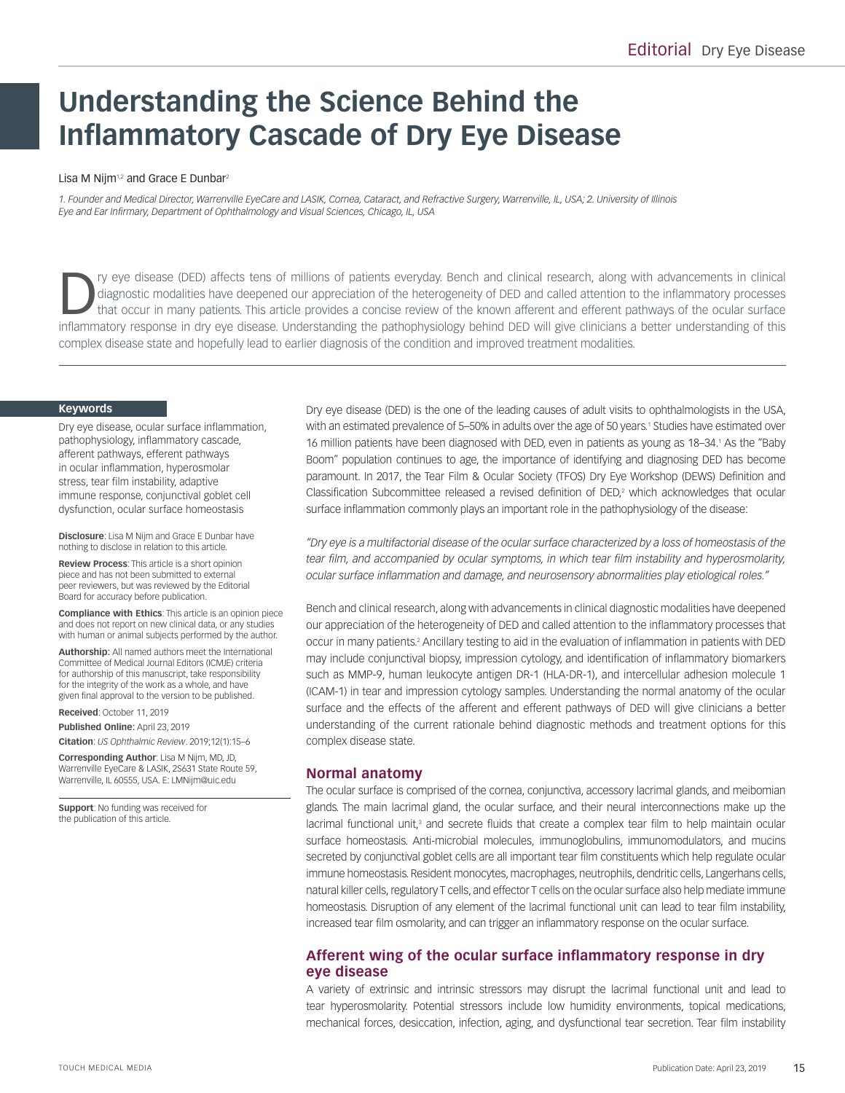# **Understanding the Science Behind the Inflammatory Cascade of Dry Eye Disease**

#### Lisa M Nijm<sup>1,2</sup> and Grace E Dunbar<sup>2</sup>

*1. Founder and Medical Director, Warrenville EyeCare and LASIK, Cornea, Cataract, and Refractive Surgery, Warrenville, IL, USA; 2. University of Illinois Eye and Ear Infirmary, Department of Ophthalmology and Visual Sciences, Chicago, IL, USA*

Try eye disease (DED) affects tens of millions of patients everyday. Bench and clinical research, along with advancements in clinical diagnostic modalities have deepened our appreciation of the heterogeneity of DED and cal diagnostic modalities have deepened our appreciation of the heterogeneity of DED and called attention to the inflammatory processes that occur in many patients. This article provides a concise review of the known afferent and efferent pathways of the ocular surface inflammatory response in dry eye disease. Understanding the pathophysiology behind DED will give clinicians a better understanding of this complex disease state and hopefully lead to earlier diagnosis of the condition and improved treatment modalities.

#### **Keywords**

Dry eye disease, ocular surface inflammation, pathophysiology, inflammatory cascade, afferent pathways, efferent pathways in ocular inflammation, hyperosmolar stress, tear film instability, adaptive immune response, conjunctival goblet cell dysfunction, ocular surface homeostasis

**Disclosure**: Lisa M Nijm and Grace E Dunbar have nothing to disclose in relation to this article.

**Review Process**: This article is a short opinion piece and has not been submitted to external peer reviewers, but was reviewed by the Editorial Board for accuracy before publication.

**Compliance with Ethics**: This article is an opinion piece and does not report on new clinical data, or any studies with human or animal subjects performed by the author.

**Authorship:** All named authors meet the International Committee of Medical Journal Editors (ICMJE) criteria for authorship of this manuscript, take responsibility for the integrity of the work as a whole, and have given final approval to the version to be published.

**Received**: October 11, 2019

**Published Online:** April 23, 2019

**Citation**: *US Ophthalmic Review*. 2019;12(1):15–6 **Corresponding Author**: Lisa M Nijm, MD, JD,

Warrenville EyeCare & LASIK, 2S631 State Route 59, Warrenville, IL 60555, USA. E: LMNijm@uic.edu

**Support**: No funding was received for the publication of this article.

Dry eye disease (DED) is the one of the leading causes of adult visits to ophthalmologists in the USA, with an estimated prevalence of 5–50% in adults over the age of 50 years.1 Studies have estimated over 16 million patients have been diagnosed with DED, even in patients as young as 18–34.<sup>1</sup> As the "Baby Boom" population continues to age, the importance of identifying and diagnosing DED has become paramount. In 2017, the Tear Film & Ocular Society (TFOS) Dry Eye Workshop (DEWS) Definition and Classification Subcommittee released a revised definition of  $DED<sub>r</sub><sup>2</sup>$  which acknowledges that ocular surface inflammation commonly plays an important role in the pathophysiology of the disease:

*"Dry eye is a multifactorial disease of the ocular surface characterized by a loss of homeostasis of the tear film, and accompanied by ocular symptoms, in which tear film instability and hyperosmolarity, ocular surface inflammation and damage, and neurosensory abnormalities play etiological roles."*

Bench and clinical research, along with advancements in clinical diagnostic modalities have deepened our appreciation of the heterogeneity of DED and called attention to the inflammatory processes that occur in many patients.<sup>2</sup> Ancillary testing to aid in the evaluation of inflammation in patients with DED may include conjunctival biopsy, impression cytology, and identification of inflammatory biomarkers such as MMP-9, human leukocyte antigen DR-1 (HLA-DR-1), and intercellular adhesion molecule 1 (ICAM-1) in tear and impression cytology samples. Understanding the normal anatomy of the ocular surface and the effects of the afferent and efferent pathways of DED will give clinicians a better understanding of the current rationale behind diagnostic methods and treatment options for this complex disease state.

#### **Normal anatomy**

The ocular surface is comprised of the cornea, conjunctiva, accessory lacrimal glands, and meibomian glands. The main lacrimal gland, the ocular surface, and their neural interconnections make up the lacrimal functional unit,<sup>3</sup> and secrete fluids that create a complex tear film to help maintain ocular surface homeostasis. Anti-microbial molecules, immunoglobulins, immunomodulators, and mucins secreted by conjunctival goblet cells are all important tear film constituents which help regulate ocular immune homeostasis. Resident monocytes, macrophages, neutrophils, dendritic cells, Langerhans cells, natural killer cells, regulatory T cells, and effector T cells on the ocular surface also help mediate immune homeostasis. Disruption of any element of the lacrimal functional unit can lead to tear film instability, increased tear film osmolarity, and can trigger an inflammatory response on the ocular surface.

## **Afferent wing of the ocular surface inflammatory response in dry eye disease**

A variety of extrinsic and intrinsic stressors may disrupt the lacrimal functional unit and lead to tear hyperosmolarity. Potential stressors include low humidity environments, topical medications, mechanical forces, desiccation, infection, aging, and dysfunctional tear secretion. Tear film instability